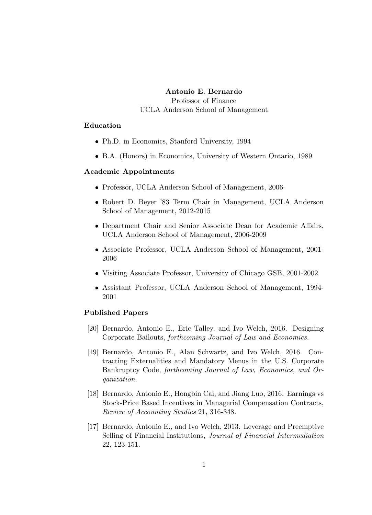### Antonio E. Bernardo

Professor of Finance UCLA Anderson School of Management

## Education

- Ph.D. in Economics, Stanford University, 1994
- B.A. (Honors) in Economics, University of Western Ontario, 1989

## Academic Appointments

- Professor, UCLA Anderson School of Management, 2006-
- Robert D. Beyer '83 Term Chair in Management, UCLA Anderson School of Management, 2012-2015
- Department Chair and Senior Associate Dean for Academic Affairs, UCLA Anderson School of Management, 2006-2009
- Associate Professor, UCLA Anderson School of Management, 2001- 2006
- Visiting Associate Professor, University of Chicago GSB, 2001-2002
- Assistant Professor, UCLA Anderson School of Management, 1994- 2001

#### Published Papers

- [20] Bernardo, Antonio E., Eric Talley, and Ivo Welch, 2016. Designing Corporate Bailouts, forthcoming Journal of Law and Economics.
- [19] Bernardo, Antonio E., Alan Schwartz, and Ivo Welch, 2016. Contracting Externalities and Mandatory Menus in the U.S. Corporate Bankruptcy Code, forthcoming Journal of Law, Economics, and Organization.
- [18] Bernardo, Antonio E., Hongbin Cai, and Jiang Luo, 2016. Earnings vs Stock-Price Based Incentives in Managerial Compensation Contracts, Review of Accounting Studies 21, 316-348.
- [17] Bernardo, Antonio E., and Ivo Welch, 2013. Leverage and Preemptive Selling of Financial Institutions, Journal of Financial Intermediation 22, 123-151.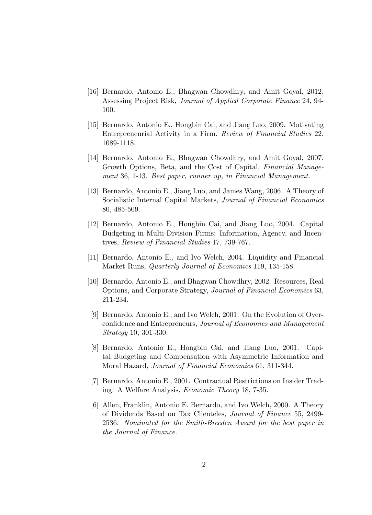- [16] Bernardo, Antonio E., Bhagwan Chowdhry, and Amit Goyal, 2012. Assessing Project Risk, Journal of Applied Corporate Finance 24, 94- 100.
- [15] Bernardo, Antonio E., Hongbin Cai, and Jiang Luo, 2009. Motivating Entrepreneurial Activity in a Firm, Review of Financial Studies 22, 1089-1118.
- [14] Bernardo, Antonio E., Bhagwan Chowdhry, and Amit Goyal, 2007. Growth Options, Beta, and the Cost of Capital, Financial Management 36, 1-13. Best paper, runner up, in Financial Management.
- [13] Bernardo, Antonio E., Jiang Luo, and James Wang, 2006. A Theory of Socialistic Internal Capital Markets, Journal of Financial Economics 80, 485-509.
- [12] Bernardo, Antonio E., Hongbin Cai, and Jiang Luo, 2004. Capital Budgeting in Multi-Division Firms: Information, Agency, and Incentives, Review of Financial Studies 17, 739-767.
- [11] Bernardo, Antonio E., and Ivo Welch, 2004. Liquidity and Financial Market Runs, Quarterly Journal of Economics 119, 135-158.
- [10] Bernardo, Antonio E., and Bhagwan Chowdhry, 2002. Resources, Real Options, and Corporate Strategy, Journal of Financial Economics 63, 211-234.
- [9] Bernardo, Antonio E., and Ivo Welch, 2001. On the Evolution of Overconfidence and Entrepreneurs, Journal of Economics and Management Strategy 10, 301-330.
- [8] Bernardo, Antonio E., Hongbin Cai, and Jiang Luo, 2001. Capital Budgeting and Compensation with Asymmetric Information and Moral Hazard, Journal of Financial Economics 61, 311-344.
- [7] Bernardo, Antonio E., 2001. Contractual Restrictions on Insider Trading: A Welfare Analysis, Economic Theory 18, 7-35.
- [6] Allen, Franklin, Antonio E. Bernardo, and Ivo Welch, 2000. A Theory of Dividends Based on Tax Clienteles, Journal of Finance 55, 2499- 2536. Nominated for the Smith-Breeden Award for the best paper in the Journal of Finance.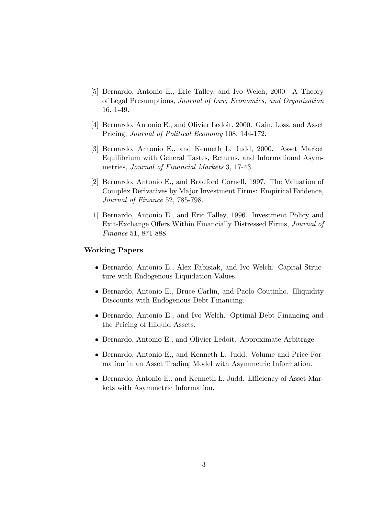- [5] Bernardo, Antonio E., Eric Talley, and Ivo Welch, 2000. A Theory of Legal Presumptions, Journal of Law, Economics, and Organization 16, 1-49.
- [4] Bernardo, Antonio E., and Olivier Ledoit, 2000. Gain, Loss, and Asset Pricing, Journal of Political Economy 108, 144-172.
- [3] Bernardo, Antonio E., and Kenneth L. Judd, 2000. Asset Market Equilibrium with General Tastes, Returns, and Informational Asymmetries, Journal of Financial Markets 3, 17-43.
- [2] Bernardo, Antonio E., and Bradford Cornell, 1997. The Valuation of Complex Derivatives by Major Investment Firms: Empirical Evidence, Journal of Finance 52, 785-798.
- [1] Bernardo, Antonio E., and Eric Talley, 1996. Investment Policy and Exit-Exchange Offers Within Financially Distressed Firms, Journal of Finance 51, 871-888.

### Working Papers

- Bernardo, Antonio E., Alex Fabisiak, and Ivo Welch. Capital Structure with Endogenous Liquidation Values.
- Bernardo, Antonio E., Bruce Carlin, and Paolo Coutinho. Illiquidity Discounts with Endogenous Debt Financing.
- Bernardo, Antonio E., and Ivo Welch. Optimal Debt Financing and the Pricing of Illiquid Assets.
- Bernardo, Antonio E., and Olivier Ledoit. Approximate Arbitrage.
- Bernardo, Antonio E., and Kenneth L. Judd. Volume and Price Formation in an Asset Trading Model with Asymmetric Information.
- Bernardo, Antonio E., and Kenneth L. Judd. Efficiency of Asset Markets with Asymmetric Information.